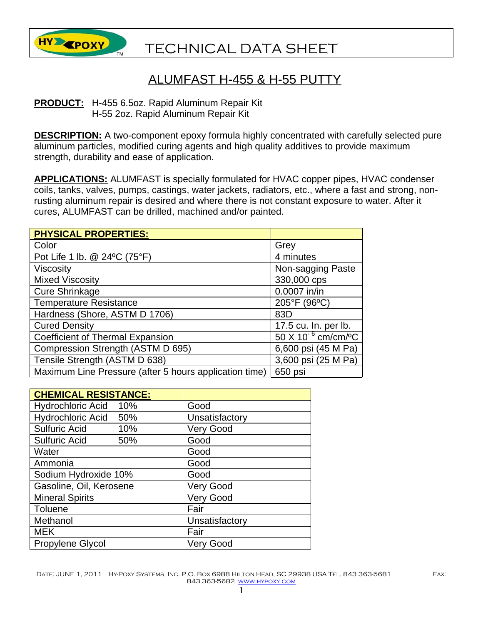

## TECHNICAL DATA SHEET

## ALUMFAST H-455 & H-55 PUTTY

**PRODUCT:** H-455 6.5oz. Rapid Aluminum Repair Kit H-55 2oz. Rapid Aluminum Repair Kit

**DESCRIPTION:** A two-component epoxy formula highly concentrated with carefully selected pure aluminum particles, modified curing agents and high quality additives to provide maximum strength, durability and ease of application.

**APPLICATIONS:** ALUMFAST is specially formulated for HVAC copper pipes, HVAC condenser coils, tanks, valves, pumps, castings, water jackets, radiators, etc., where a fast and strong, nonrusting aluminum repair is desired and where there is not constant exposure to water. After it cures, ALUMFAST can be drilled, machined and/or painted.

| <b>PHYSICAL PROPERTIES:</b>                            |                                      |
|--------------------------------------------------------|--------------------------------------|
| Color                                                  | Grey                                 |
| Pot Life 1 lb. @ 24°C (75°F)                           | 4 minutes                            |
| Viscosity                                              | Non-sagging Paste                    |
| <b>Mixed Viscosity</b>                                 | 330,000 cps                          |
| <b>Cure Shrinkage</b>                                  | 0.0007 in/in                         |
| <b>Temperature Resistance</b>                          | 205°F (96°C)                         |
| Hardness (Shore, ASTM D 1706)                          | 83D                                  |
| <b>Cured Density</b>                                   | 17.5 cu. In. per lb.                 |
| <b>Coefficient of Thermal Expansion</b>                | $50 X 10^{-6}$ cm/cm/ <sup>o</sup> C |
| Compression Strength (ASTM D 695)                      | 6,600 psi (45 M Pa)                  |
| Tensile Strength (ASTM D 638)                          | 3,600 psi (25 M Pa)                  |
| Maximum Line Pressure (after 5 hours application time) | 650 psi                              |

| <b>CHEMICAL RESISTANCE:</b>     |                  |
|---------------------------------|------------------|
| <b>Hydrochloric Acid</b><br>10% | Good             |
| Hydrochloric Acid 50%           | Unsatisfactory   |
| <b>Sulfuric Acid</b><br>10%     | <b>Very Good</b> |
| <b>Sulfuric Acid</b><br>50%     | Good             |
| Water                           | Good             |
| Ammonia                         | Good             |
| Sodium Hydroxide 10%            | Good             |
| Gasoline, Oil, Kerosene         | <b>Very Good</b> |
| <b>Mineral Spirits</b>          | <b>Very Good</b> |
| Toluene                         | Fair             |
| Methanol                        | Unsatisfactory   |
| <b>MEK</b>                      | Fair             |
| <b>Propylene Glycol</b>         | Verv Good        |